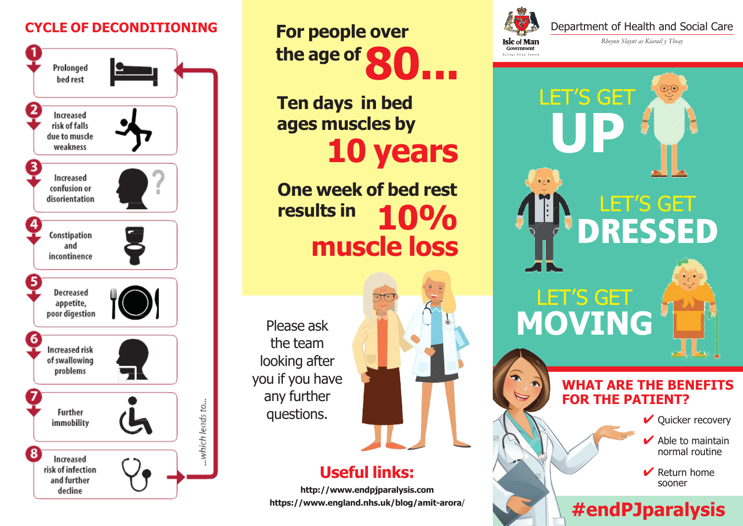## **CYCLE OF DECONDITIONING**



**For people over** the age of

**Ten days in bed ages muscles by 10 years**

**One week of bed rest results in 10% muscle loss**

**Useful links:**

**http://www.endpjparalysis.com https://www.england.nhs.uk/blog/amit-arora**/

http://www.endpjparalysis.com/ https://www.england.nhs.uk/blog/amit-arora/ Please ask the team looking after you if you have any further questions.



Department of Health and Social Care

*Rheynn Slaynt as Kiarail y Theay*